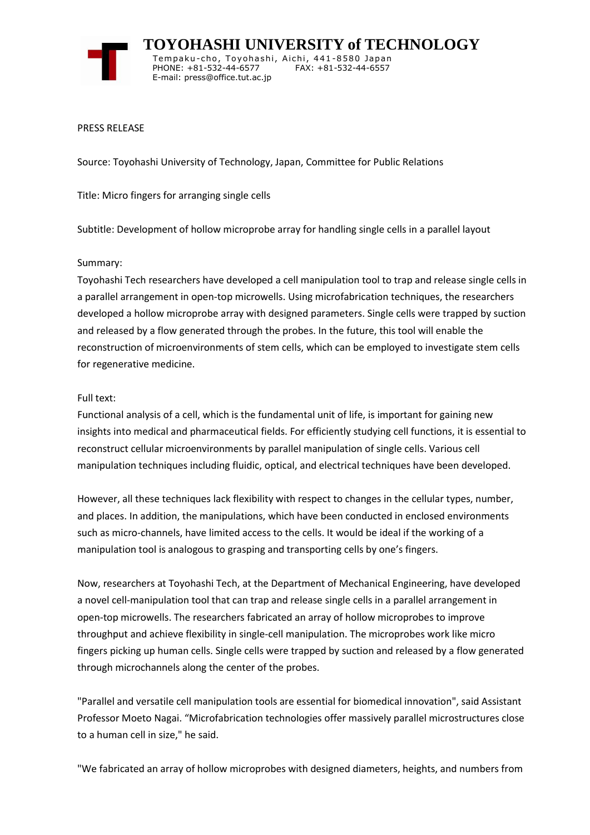

 **TOYOHASHI UNIVERSITY of TECHNOLOGY** Tempaku-cho, Toyohashi, Aichi, 441-8580 Japan PHONE: +81-532-44-6577 FAX: +81-532-44-6557 E-mail: press@office.tut.ac.jp

#### PRESS RELEASE

Source: Toyohashi University of Technology, Japan, Committee for Public Relations

Title: Micro fingers for arranging single cells

Subtitle: Development of hollow microprobe array for handling single cells in a parallel layout

#### Summary:

Toyohashi Tech researchers have developed a cell manipulation tool to trap and release single cells in a parallel arrangement in open-top microwells. Using microfabrication techniques, the researchers developed a hollow microprobe array with designed parameters. Single cells were trapped by suction and released by a flow generated through the probes. In the future, this tool will enable the reconstruction of microenvironments of stem cells, which can be employed to investigate stem cells for regenerative medicine.

### Full text:

Functional analysis of a cell, which is the fundamental unit of life, is important for gaining new insights into medical and pharmaceutical fields. For efficiently studying cell functions, it is essential to reconstruct cellular microenvironments by parallel manipulation of single cells. Various cell manipulation techniques including fluidic, optical, and electrical techniques have been developed.

However, all these techniques lack flexibility with respect to changes in the cellular types, number, and places. In addition, the manipulations, which have been conducted in enclosed environments such as micro-channels, have limited access to the cells. It would be ideal if the working of a manipulation tool is analogous to grasping and transporting cells by one's fingers.

Now, researchers at Toyohashi Tech, at the Department of Mechanical Engineering, have developed a novel cell-manipulation tool that can trap and release single cells in a parallel arrangement in open-top microwells. The researchers fabricated an array of hollow microprobes to improve throughput and achieve flexibility in single-cell manipulation. The microprobes work like micro fingers picking up human cells. Single cells were trapped by suction and released by a flow generated through microchannels along the center of the probes.

"Parallel and versatile cell manipulation tools are essential for biomedical innovation", said Assistant Professor Moeto Nagai. "Microfabrication technologies offer massively parallel microstructures close to a human cell in size," he said.

"We fabricated an array of hollow microprobes with designed diameters, heights, and numbers from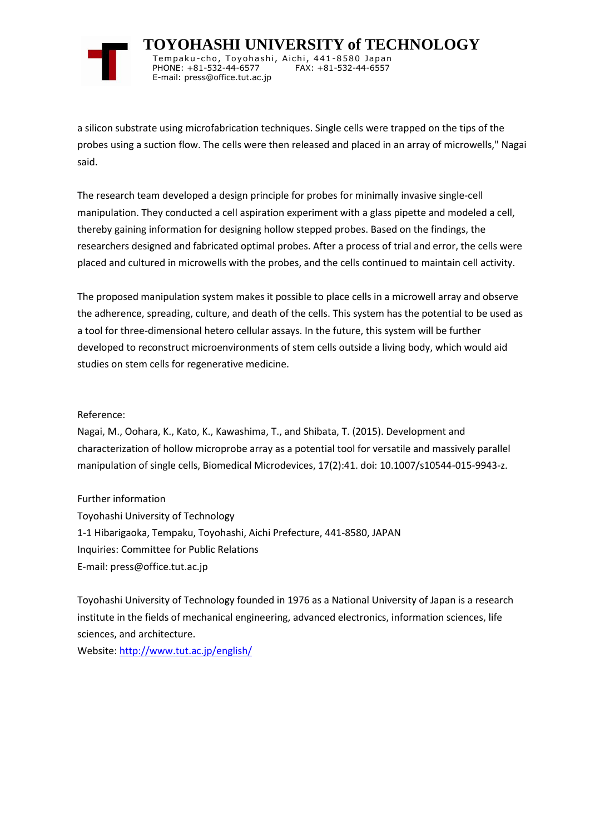

 **TOYOHASHI UNIVERSITY of TECHNOLOGY** Tempaku-cho, Toyohashi, Aichi, 441-8580 Japan PHONE: +81-532-44-6577 FAX: +81-532-44-6557 E-mail: press@office.tut.ac.jp

a silicon substrate using microfabrication techniques. Single cells were trapped on the tips of the probes using a suction flow. The cells were then released and placed in an array of microwells," Nagai said.

The research team developed a design principle for probes for minimally invasive single-cell manipulation. They conducted a cell aspiration experiment with a glass pipette and modeled a cell, thereby gaining information for designing hollow stepped probes. Based on the findings, the researchers designed and fabricated optimal probes. After a process of trial and error, the cells were placed and cultured in microwells with the probes, and the cells continued to maintain cell activity.

The proposed manipulation system makes it possible to place cells in a microwell array and observe the adherence, spreading, culture, and death of the cells. This system has the potential to be used as a tool for three-dimensional hetero cellular assays. In the future, this system will be further developed to reconstruct microenvironments of stem cells outside a living body, which would aid studies on stem cells for regenerative medicine.

#### Reference:

Nagai, M., Oohara, K., Kato, K., Kawashima, T., and Shibata, T. (2015). Development and characterization of hollow microprobe array as a potential tool for versatile and massively parallel manipulation of single cells, Biomedical Microdevices, 17(2):41. doi: 10.1007/s10544-015-9943-z.

Further information Toyohashi University of Technology 1-1 Hibarigaoka, Tempaku, Toyohashi, Aichi Prefecture, 441-8580, JAPAN Inquiries: Committee for Public Relations E-mail: press@office.tut.ac.jp

Toyohashi University of Technology founded in 1976 as a National University of Japan is a research institute in the fields of mechanical engineering, advanced electronics, information sciences, life sciences, and architecture.

Website[: http://www.tut.ac.jp/english/](https://www.tut.ac.jp/english/)